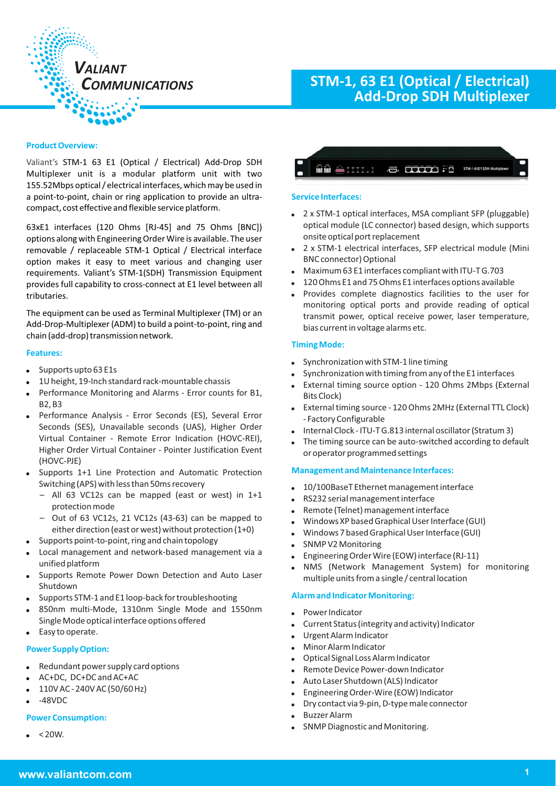

# **STM-1, 63 E1 (Optical / Electrical) Add-Drop SDH Multiplexer**

#### **Product Overview:**

Valiant's STM-1 63 E1 (Optical / Electrical) Add-Drop SDH Multiplexer unit is a modular platform unit with two 155.52Mbps optical / electrical interfaces, which may be used in a point-to-point, chain or ring application to provide an ultracompact, cost effective and flexible service platform.

63xE1 interfaces (120 Ohms [RJ-45] and 75 Ohms [BNC]) options along with Engineering Order Wire is available. The user removable / replaceable STM-1 Optical / Electrical interface option makes it easy to meet various and changing user requirements. Valiant's STM-1(SDH) Transmission Equipment provides full capability to cross-connect at E1 level between all tributaries.

The equipment can be used as Terminal Multiplexer (TM) or an Add-Drop-Multiplexer (ADM) to build a point-to-point, ring and chain (add-drop) transmission network.

#### **Features:**

- $\bullet$ Supports upto 63 E1s
- -1U height, 19-Inch standard rack-mountable chassis
- - Performance Monitoring and Alarms - Error counts for B1, B2, B3
- Performance Analysis Error Seconds (ES), Several Error Seconds (SES), Unavailable seconds (UAS), Higher Order Virtual Container - Remote Error Indication (HOVC-REI), Higher Order Virtual Container - Pointer Justification Event (HOVC-PJE)
- - Supports 1+1 Line Protection and Automatic Protection Switching (APS) with less than 50ms recovery
	- All 63 VC12s can be mapped (east or west) in 1+1 protection mode
	- Out of 63 VC12s, 21 VC12s (43-63) can be mapped to either direction (east or west) without protection (1+0)
- $\bullet$ Supports point-to-point, ring and chain topology
- - Local management and network-based management via a unified platform
- - Supports Remote Power Down Detection and Auto Laser Shutdown
- -Supports STM-1 and E1 loop-back for troubleshooting
- - 850nm multi-Mode, 1310nm Single Mode and 1550nm Single Mode optical interface options offered
- -Easy to operate.

#### **Power Supply Option:**

- -Redundant power supply card options
- -AC+DC, DC+DC and AC+AC
- -110V AC - 240V AC (50/60 Hz)
- --48VDC

#### **Power Consumption:**

- $< 20W$ .



#### **Service Interfaces:**

- 2 x STM-1 optical interfaces, MSA compliant SFP (pluggable) optical module (LC connector) based design, which supports onsite optical port replacement
- 2 x STM-1 electrical interfaces, SFP electrical module (Mini BNC connector) Optional
- Maximum 63 E1 interfaces compliant with ITU-T G.703
- 120 Ohms E1 and 75 Ohms E1 interfaces options available
- Provides complete diagnostics facilities to the user for monitoring optical ports and provide reading of optical transmit power, optical receive power, laser temperature, bias current in voltage alarms etc.

#### **Timing Mode:**

- -Synchronization with STM-1 line timing
- Synchronizationwith timing fromany ofthe E1 interfaces
- -External timing source option - 120 Ohms 2Mbps (External Bits Clock)
- -External timing source - 120 Ohms 2MHz (External TTL Clock) - Factory Configurable
- Internal Clock -ITU-TG.813 internal oscillator(Stratum3)
- The timing source can be auto-switched according to default or operator programmed settings

#### **Management and Maintenance Interfaces:**

- -10/100BaseT Ethernet management interface
- -RS232 serial management interface
- -Remote (Telnet) management interface
- -Windows XP based Graphical User Interface (GUI)
- -Windows 7 based Graphical User Interface (GUI)
- -SNMP V2 Monitoring
- -Engineering Order Wire (EOW) interface (RJ-11)
- NMS (Network Management System) for monitoring multiple units from a single / central location

#### **Alarm and Indicator Monitoring:**

- -Power Indicator
- -Current Status (integrity and activity) Indicator
- -Urgent Alarm Indicator
- -Minor Alarm Indicator
- -Optical Signal Loss Alarm Indicator
- -Remote Device Power-down Indicator
- -Auto Laser Shutdown (ALS) Indicator
- -Engineering Order-Wire (EOW) Indicator
- Dry contact via 9-pin, D-type male connector
- -Buzzer Alarm
- -SNMP Diagnostic and Monitoring.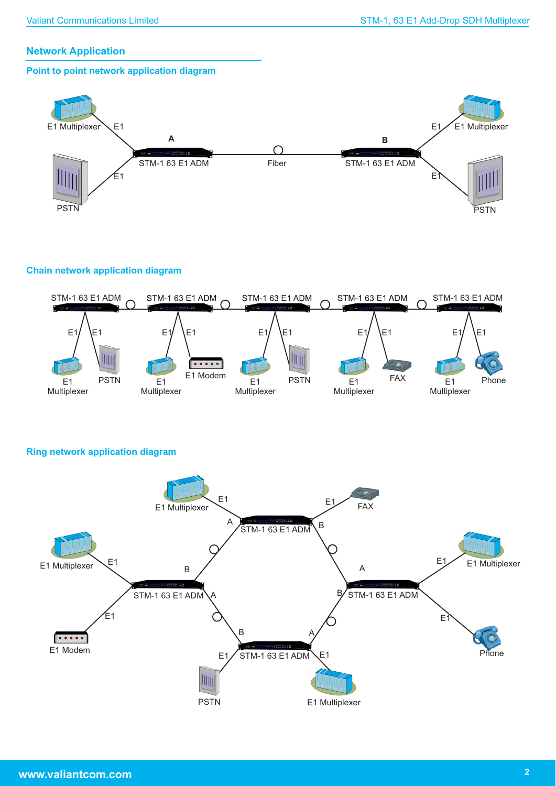## **Network Application**

## **Point to point network application diagram**



## **Chain network application diagram**



**Ring network application diagram**

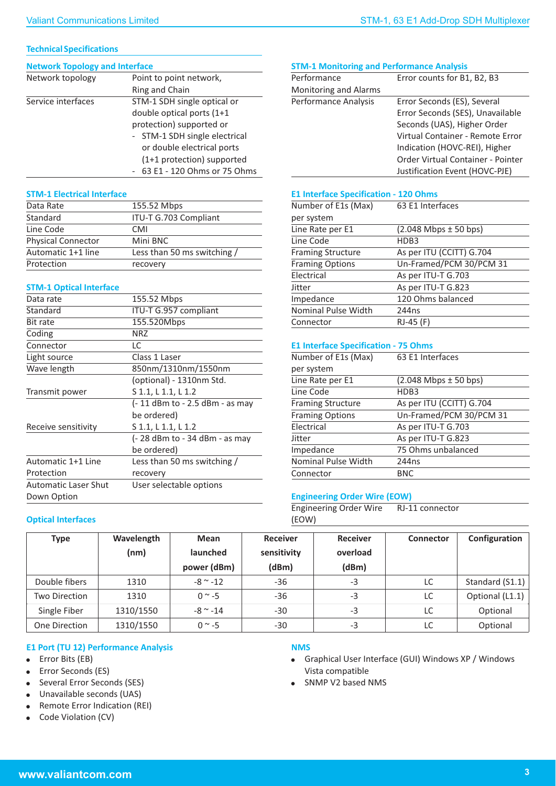## **Technical Specifications**

| Network topology   | Point to point network,       |
|--------------------|-------------------------------|
|                    | Ring and Chain                |
| Service interfaces | STM-1 SDH single optical or   |
|                    | double optical ports (1+1     |
|                    | protection) supported or      |
|                    | - STM-1 SDH single electrical |
|                    | or double electrical ports    |
|                    | (1+1 protection) supported    |
|                    | 63 E1 - 120 Ohms or 75 Ohms   |

## **STM-1 Electrical Interface**

| Data Rate                 | 155.52 Mbps                 |
|---------------------------|-----------------------------|
| Standard                  | ITU-T G.703 Compliant       |
| Line Code                 | <b>CMI</b>                  |
| <b>Physical Connector</b> | Mini BNC                    |
| Automatic 1+1 line        | Less than 50 ms switching / |
| Protection                | recovery                    |

## **STM-1 Optical Interface**

| Data rate                   | 155.52 Mbps                     |
|-----------------------------|---------------------------------|
| Standard                    | ITU-T G.957 compliant           |
| Bit rate                    | 155.520Mbps                     |
| Coding                      | <b>NRZ</b>                      |
| Connector                   | LC                              |
| Light source                | Class 1 Laser                   |
| Wave length                 | 850nm/1310nm/1550nm             |
|                             | (optional) - 1310nm Std.        |
| Transmit power              | S 1.1, L 1.1, L 1.2             |
|                             | (- 11 dBm to - 2.5 dBm - as may |
|                             | be ordered)                     |
| Receive sensitivity         | S 1.1, L 1.1, L 1.2             |
|                             | (- 28 dBm to - 34 dBm - as may  |
|                             | be ordered)                     |
| Automatic 1+1 Line          | Less than 50 ms switching /     |
| Protection                  | recovery                        |
| <b>Automatic Laser Shut</b> | User selectable options         |
| Down Option                 |                                 |
|                             |                                 |

## **STM-1 Monitoring and Performance Analysis**

| Performance                  | Error counts for B1, B2, B3       |
|------------------------------|-----------------------------------|
| <b>Monitoring and Alarms</b> |                                   |
| Performance Analysis         | Error Seconds (ES), Several       |
|                              | Error Seconds (SES), Unavailable  |
|                              | Seconds (UAS), Higher Order       |
|                              | Virtual Container - Remote Error  |
|                              | Indication (HOVC-REI), Higher     |
|                              | Order Virtual Container - Pointer |
|                              | Justification Event (HOVC-PJE)    |
|                              |                                   |

## **E1 Interface Specification - 120 Ohms**

| Number of E1s (Max)        | 63 E1 Interfaces            |
|----------------------------|-----------------------------|
| per system                 |                             |
| Line Rate per E1           | $(2.048$ Mbps $\pm$ 50 bps) |
| Line Code                  | HDB3                        |
| <b>Framing Structure</b>   | As per ITU (CCITT) G.704    |
| <b>Framing Options</b>     | Un-Framed/PCM 30/PCM 31     |
| Electrical                 | As per ITU-T G.703          |
| Jitter                     | As per ITU-T G.823          |
| Impedance                  | 120 Ohms balanced           |
| <b>Nominal Pulse Width</b> | 244 <sub>ns</sub>           |
| Connector                  | RJ-45 (F)                   |

## **E1 Interface Specification - 75 Ohms**

| Number of E1s (Max)        | 63 E1 Interfaces            |
|----------------------------|-----------------------------|
| per system                 |                             |
| Line Rate per E1           | $(2.048$ Mbps $\pm$ 50 bps) |
| Line Code                  | HDB3                        |
| <b>Framing Structure</b>   | As per ITU (CCITT) G.704    |
| <b>Framing Options</b>     | Un-Framed/PCM 30/PCM 31     |
| Electrical                 | As per ITU-T G.703          |
| <b>Jitter</b>              | As per ITU-T G.823          |
| Impedance                  | 75 Ohms unbalanced          |
| <b>Nominal Pulse Width</b> | 244 <sub>ns</sub>           |
| Connector                  | <b>BNC</b>                  |
|                            |                             |

## **Engineering Order Wire (EOW)**

Engineering Order Wire RJ-11 connector (EOW)

| Type          | Wavelength | <b>Mean</b>   | <b>Receiver</b> | <b>Receiver</b> | Connector | Configuration   |
|---------------|------------|---------------|-----------------|-----------------|-----------|-----------------|
|               | (nm)       | launched      | sensitivity     | overload        |           |                 |
|               |            | power (dBm)   | (dBm)           | (dBm)           |           |                 |
| Double fibers | 1310       | $-8$ ~ $-12$  | -36             | $-3$            | LC        | Standard (S1.1) |
| Two Direction | 1310       | $0^{\sim} -5$ | $-36$           | $-3$            | LC        | Optional (L1.1) |
| Single Fiber  | 1310/1550  | $-8$ ~ $-14$  | -30             | $-3$            | LC        | Optional        |
| One Direction | 1310/1550  | $0 \sim -5$   | $-30$           | $-3$            | LC        | Optional        |

## **E1 Port (TU 12) Performance Analysis**

• Error Bits (EB)

**Optical Interfaces**

- -Error Seconds (ES)
- -Several Error Seconds (SES)
- $\bullet$ Unavailable seconds (UAS)
- $\bullet$ Remote Error Indication (REI)
- $\bullet$ Code Violation (CV)

## **NMS**

- Graphical User Interface (GUI) Windows XP / Windows Vista compatible
- SNMP V2 based NMS